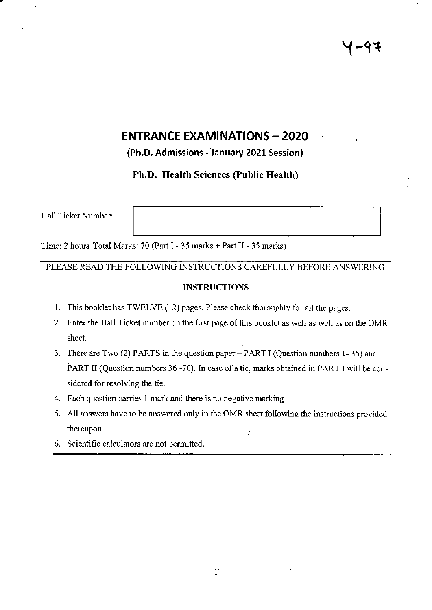# **ENTRANCE EXAMINATIONS - 2020**

(Ph.D, Admissions - lanuary 2021 Session)

Ph.D. Health Sciences (Public Health)

Hall Ticket Number:

a

Time: 2 hours Total Marks: 70 (Part I - 35 marks + Part II - 35 marks)

PLEASE READ THE FOLLOWING INSTRUCTIONS CAREFULLY BEFORE ANSWERING

#### INSTRUCTIONS

- This booklet has TWELVE (12) pages. Please check thoroughly for all the pages. 1.
- 2. Enter the Hall Ticket number on the first page of this booklet as well as well as on the OMR sheet.
- 3. There are Two (2) PARTS in the question paper PART I (Question numbers 1-35) and PART II (Question numbers 36 -70). In case of a tie, marks obtained in PART I will be considered for resolving the tie.
- 4. Each question carries 1 mark and there is no negative marking.
- All answers have to be answered only in the OMR sheet following the instructions provided 5. thereupon. ÷
- 6. Scientific calculators are not permifted.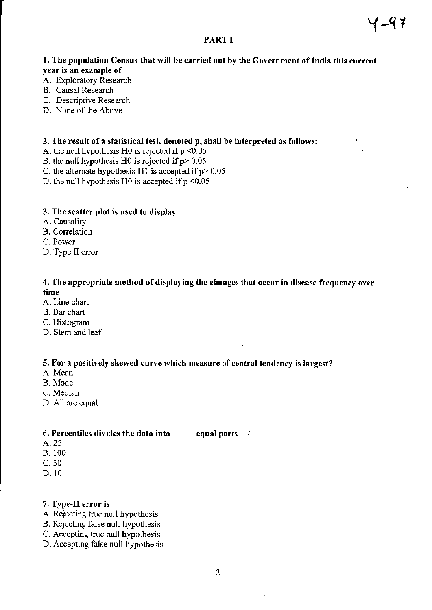# PART I

Y-q <sup>T</sup>

- A. Exploratory Research
- B. Causal Research
- C. Descriptive Research
- D. None of the Above

#### 2. The result of a statistical test, denoted p, shall be interpreted as follows:

- A. the null hypothesis H0 is rejected if  $p < 0.05$
- B. the null hypothesis H0 is rejected if  $p > 0.05$
- C. the alternate hypothesis H1 is accepted if  $p > 0.05$ .
- D. the null hypothesis H0 is accepted if  $p \le 0.05$

#### 3. The scatter plot is used to display

- A. Causality
- B. Correlation
- C. Power
- D. Type II error

# 4. The appropriate method of displaying the changes that occur in disease frequency over time

- A. Line chart
- B. Bar chart
- C. Histogram
- D. Stem and leaf

#### 5. For a positively skewed curve which measure of central tendency is largest?

- A. Mean
- B. Mode
- C. Median
- D. All are equal

#### 6. Percentiles divides the data into  $\qquad$  equal parts

- A.25
- B. 100
- c.50
- D. 10

#### 7. Type-II error is

- A. Rejecting true null hypothesis
- B. Rejecting false null hypothesis
- C. Accepting tme null hypothesis
- D. Accepting false null hypothesis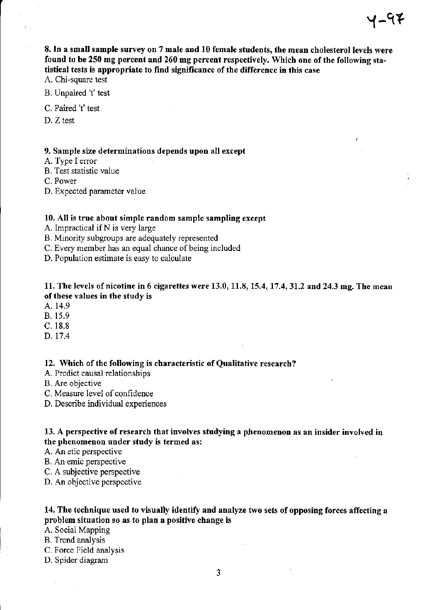8. In a small sample survey on 7 male and 10 female students, the mean cholesterol levels were found to be 250 mg percent and 260 mg percent respectively. Which one of the following statistical tests is appropriate to find significance of the difference in this case

A. Chi-square test

B. Unpaircd 't' test

C. Paired 't' test

D. Z test

#### 9. Sample size determinations depends upon all except

- A. Type I error
- B. Test statistic value

C. Power

D. Expected pararneter value

#### 10. All is true about simple random sample sampling except

- A. Impractical if  $N$  is very large
- B. Minority subgroups are adequately represented
- C. Every member has an equal chance of being included
- D. Population estimate is easy to calculate

#### 11. The levels of nicotine in 6 cigarettes were 13.0, 11.8, 15.4, 17.4,31.2 mg. The mean of these values in the study is

- A. 14.9
- B. 15.9
- c. 18.8
- D. 17.4

#### 12. Which of the following is characteristic of Qualitative research?

- A. Predict causal relationships
- B. Are objective
- C. Measure level of confidence
- D. Describe individual experiences

# 13. A perspective of research that involves studying a phenomenon as an insider involved in the phenomenon under study is termed as:

- A. An etic perspective
- B. An emic perspective
- C. A subjective perspective
- D. An objective perspective

# 14. The technique used to visually identify and analyze two sets of opposing forces affecting a problem situation so as to plan a positive change is

#### A. Social Mapping

- B. Trend analysis
- C. Force Field analysis
- D. Spider diagram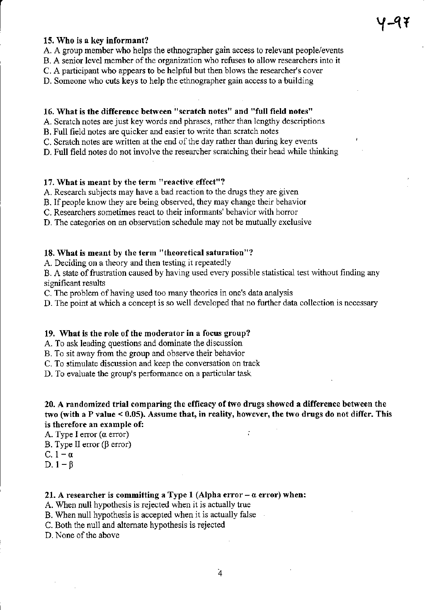#### 15. Who is a key informant?

A. A group member who helps the ethnographer gain access to relevant people/events

B. A senior level member of the organization who refuses to allow researchers into it

C. A participant who appears to be helpful but then blows the researcher's cover

D. Someone who cuts keys to help the ethnographer gain access to a building

# 16. What is the difference between "scratch notes" and "full field notes"

A. Scratch notes are just key words and phrases, rather than lengthy descriptions

B. Full field notes are quicker and easier to wite than scratch notes

C. Scratch notes are written at the end of the day rather than during key events

D. Full field notes do not involve the researcher scratching their head while thinking

# 17. What is meant by the term "reactive effect"?

A. Research subjects may have a bad reaction to the drugs they are given

B. If people know they are being observed, they may change their behavior

C. Researchers sometimes react to their informants' behavior with horror

D. The categories on an observation schedule may not be mutually exclusive

# 18, What is meant by the term "theoretical saturation"?

A. Deciding on a theory and then testing it repeatedly

B. A state of frustration caused by having used every possible statistical test without finding any significant results

C. The problem of having used too many theories in one's data analysis

D. The point at which a concept is so well developed that no further data collection is necessary

# 19. What is the role of the moderator in a focus group?

A. To ask leading questions and dominate the discussion.

B. To sit away ftom the group and observe their behavior

C. To stimulate discussion and keep the conversation on track

D. To evaluate the group's perfomance on a particular task

# 20. A randomized trial comparing the efficacy of two drugs showed a difference between the two (with a P value < 0,05), Assume that, in realify, however, the two drugs do not differ. This is therefore an example of:

÷

A. Type I error  $(a error)$ 

B. Type II error ( $\beta$  error)

C.  $1-\alpha$ 

D.  $1 - \beta$ 

# 21. A researcher is committing a Type 1 (Alpha error  $-\alpha$  error) when:

A. When null hypothesis is rejected when it is actually true

B. When null hypothesis is accepted when it is actually false

C. Both the null and altemate hypothesis is rejected

D. None of the above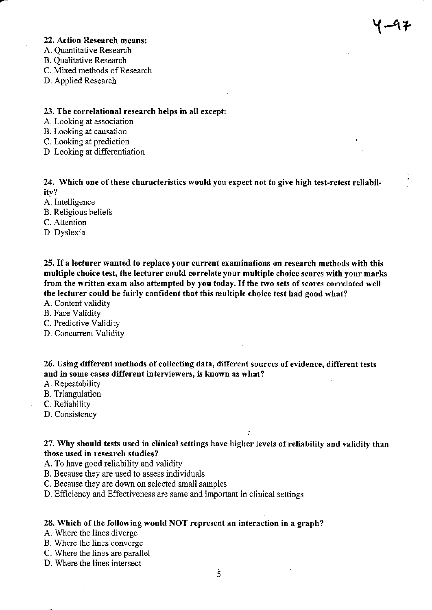# 22. Action Research means:  $\sqrt{2}$

- A. Quantitative Research
- B. Qualitative Research
- C. Mired methods of Research
- D. Applied Research

#### 23. The correlational research helps in all except:

- A. Looking at association
- B. Looking at causation
- C. Looking at prediction
- D. Looking at differentiation

24. Which one of these characteristics would you expect not to give high test-retest reliabilitv?

- A. lntelligence
- B. Religious beliefs
- C. Attention
- D. Dyslexia

25. If a lecturer wanted to replace your current examinations on research methods with this multiple choice test, the lecturer could correlate your multiple choice scores with your marks from the written exam also attempted by you today. If the two sets of scores correlated well the lecturer could be fairly confident that this multiple choice test had good what?

- A. Content validity
- B. Face Validiry
- C. Predictive Validity
- D. Concurrent Validity

26. Using different methods of collecting data, different sources of evidence, different tests and in some cases different interviewers, is known as what?

- A. Repeatability
- B. Triangulation
- C. Reliability
- D. Consistency

27. Why should tests used in clinical settings have higher levels of reliability and validity than those used in research studies?

- A. To have good reliability and validity
- B. Because they are used to assess individuals
- C. Because they are down on selected small samples
- D. Efficiency and Effectiveness are same and important in clinical settings

#### 28. Which of the following would NOT represent an interaction in a graph?

- A. Where the lines diverge
- B. Where the lines converge
- C. Where the lines are parallel
- D. Where the lines intersect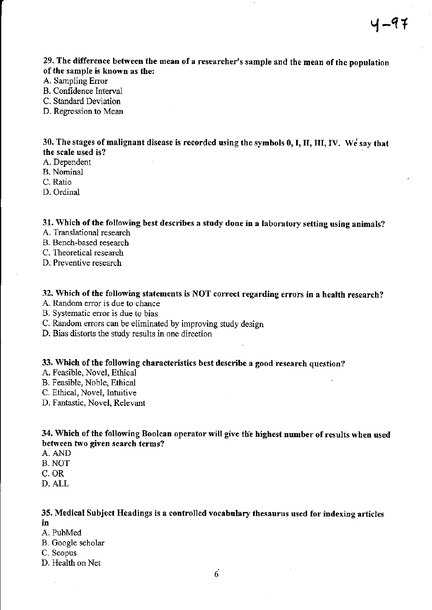29. The difference between the mean of a researcher's sample and the mean of the population of the sample is known as the:

- A. Sampling Error
- B. Confidence Interval

C. Standard Deviation

D. Regression to Mean

30. The stages of malignant disease is recorded using the symbols 0, I, II, III, IV. We say that the scale used is?

- A. Dependent
- B. Nominal
- C. Ratio
- D. Ordinal

# 31. Which of the following best describes a study done in a laboratory setting using animals?

- A. Translational research
- B. Bench-based research
- C. Theoretical research
- D. Preventive research

# 32. Which of the following statements is NOT correct regarding errors in a health research?

- A. Random error is due to chance
- B. Systematic error is due to bias
- C. Random errors can be eliminated by improving study design
- D. Bias distots the study results in one direction

#### 33. Which of the following characteristics best describe a good research question?

- A. Feasible, Novel, Ethical
- B. Feasible, Noble, Ethical
- C. Ethical, Novel, Intuitive
- D. Fantastic, Novel, Relevant

# 34. Which of the following Boolean operator will give the highest number of results when used between two given search terms?

- A. AND
- B. NOT
- c. oR
- D. ALL

# 35. Medical Subject Ileadings is a controlled vocabulary thesaurus used for indexing articles

in

- A. PuhMed
- B. Google scholar
- C. Scopus
- D. Health on Net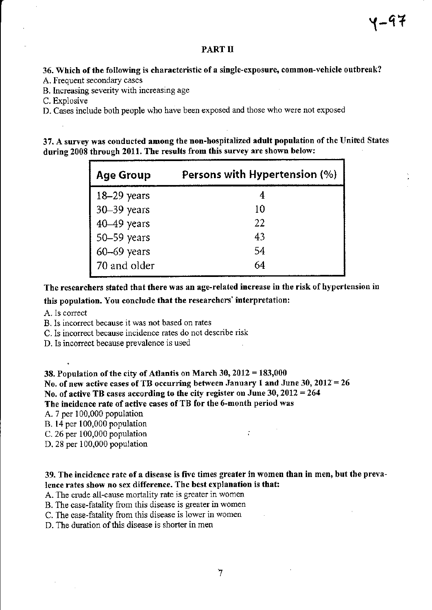#### PART II

# 36. Which of the following is characteristic of a single-exposure, common-vehicle outbreak?

- A. Frequent secondary cases
- B. Increasing severity with increasing age

C. Explosive

D. Cases include both people who have been exposed and those who werc not exposed

37. A survey was conducted among the non-hospitalized adult population of the United States during 2008 through 2011, The results from this survey are shown below:

| <b>Age Group</b>    | Persons with Hypertension (%) |
|---------------------|-------------------------------|
| $18-29$ years       |                               |
| 30-39 years         | 10                            |
| $40-49$ years       | 22                            |
| $\vert$ 50–59 years | 43                            |
| 60-69 years         | 54                            |
| 70 and older        | 64                            |

The researchers stated that there was an age-related increase in the risk of hypertension in

this population. You conclude that the researchers' interpretation:

- A. Is corect
- B. Is incorrect because it was not based on rates
- C. ls incorrect because incidence rates do not describe risk
- D. Is incorrect because prevalence is used

38. Population of the city of Atlantis on March  $30,2012 = 183,000$ No. of new active cases of TB occurring between January 1 and June 30,  $2012 = 26$ No. of active TB cases according to the city register on June 30,2012 =264 The incidence rate of active cases of TB for the 6-month period was

- A. 7 per 100,000 population
- B. 14 per 100,000 population
- C. 26 per 100,000 population :
- D. 28 per 100,000 population

# 39. The incidence rate of a disease is five times greater in women than in men, but the prevalence rates show no sex difference. The best explanation is that:

A. The crude all-cause mortality rate is greater in women

- B. The case-fatality fiom this disease is greater in women
- C. The case-fatality ftom this disease is lower in women
- D. The duration of this disease is shorter in men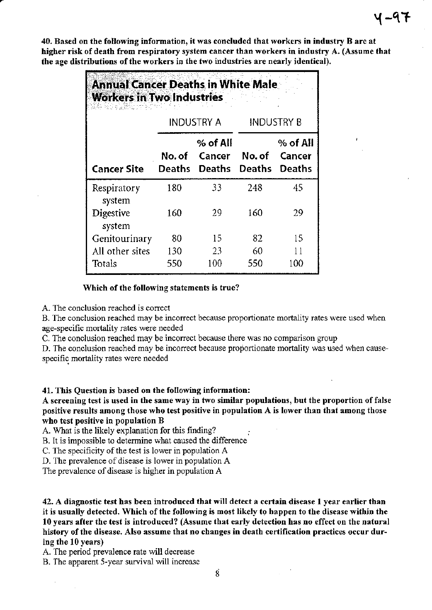40. Based on the following information, it was concluded that workers in industry B are at higher risk of death from respiratory system cancer than workers in industry A. (Assume that the age distributions of the workers in the two industries are nearly identical).

| <b>Annual Cancer Deaths in White Male</b><br><b>Workers in Two Industries</b><br>20-5 QUESTION DI PROV |                         |                                       |        |                                     |
|--------------------------------------------------------------------------------------------------------|-------------------------|---------------------------------------|--------|-------------------------------------|
|                                                                                                        |                         | <b>INDUSTRY A</b>                     |        | <b>INDUSTRY B</b>                   |
| Cancer Site                                                                                            | No. of<br><b>Deaths</b> | $%$ of All<br>Cancer<br><b>Deaths</b> | No. of | % of All<br>Cancer<br>Deaths Deaths |
| Respiratory<br>system                                                                                  | 180                     | 33                                    | 248    | 45                                  |
| Digestive<br>system                                                                                    | 160                     | 29                                    | 160    | 29                                  |
| Genitourinary                                                                                          | 80                      | 15                                    | 82     | 15                                  |
| All other sites                                                                                        | 130                     | 23                                    | 60     | $\mathbf{1}$                        |
| Totals                                                                                                 | 550                     | 100                                   | 550    | 100                                 |

#### Which of the following statements is true?

A. The conclusion reached is correct

B. The conclusion reached may be incorrect because proportionate mortality rates were used when age-specific mortality rates were needed

C. The conclusion reached may be inconect because there was no comparison group

D. The conclusion reached may be incorrect because proportionate mortality was used when causespecific mortality rates were needed

#### 41, This Question is based on the following information:

A screening test is used in the same way in two similar populations, but the proportion of false positive results among those who test positive in population A is lower than that among those who test positive in population B

A. What is the likely explanation for this finding?

B. It is impossible to detemine what caused the difference

C. The specificity of the test is lower in population A

D. The prevalence of disease is lower in population A

The prevalence of disease is higher in population A

42. A diagnostic test has been introduced that will detect a certain disease I year earlier than it is usually detected. Which of the following is most likely to happen to the disease within the 10 years after the test is introduced? (Assume that early detection has no effect on the natural history of the disease. Also assume that no changes in death certification practices occur during the 10 years)

A. The period prevalence rate will decrease

B. The apparent 5-year survival will increase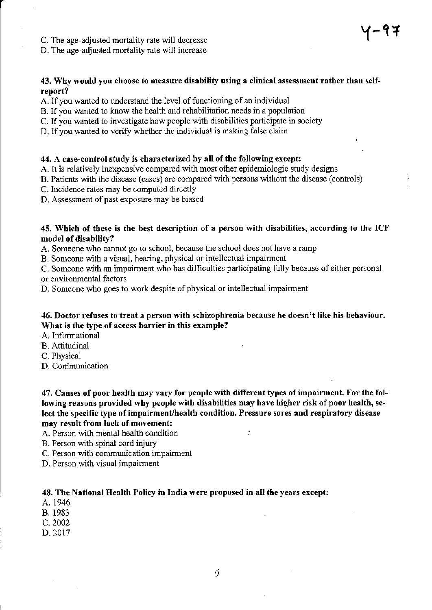C. The age-adjusted mortality rate will decrease

D. The age-adjusted mortality rate will increase

# 43. Why would you choose to measure disability using a clinical assessment rather than selfreport?

- A. If you warted to understand the level of functioning of an individua]
- B. lf you wanted to know the health and rehabilitation needs in a population
- C. If you wanted to investigate how people with disabilities participate in society
- D. If you wanted to verify whether the individual is making false claim

#### 44. A case-control study is characterized by all of the following except:

A. It is relatively inexpensive compared with most other epidemiologic study designs

- B. Patients with the disease (cases) are compared with persons without the disease (controls)
- C. Incidence rates may be computed directly

D. Assessment of past exposure may be biased

#### 45. Which of these is the best description of a person with disabilities, according to the ICF model of disability?

A. Someone who carnot go to school, because the school does not have a ramp

B. Someone with a visual, hearing, physical or intellectual impaiment

C. Someone with an impairment who has difficulties participating fully because of either personal or environmental factors

D. Someone who goes to work despite of physical or intellectual impairment

#### 46. Doctor refuses to treat a person with schizophrenia because he doesn't like his behaviour. What is the type of access barrier in this example?

A. Informational

- B. Attitudinal
- C. Physical
- D. Com'munication

47. Causes of poor health may vary for people with different types of impairment, For the following reasons provided why people with disabilities may have higher risk of poor health, select the specific type of impairment/health condition. Pressure sores and respiratory disease may result from lack of movement:

÷

- A. Person with mental health condition
- B. Person wilh spinal cord injury
- C. Person with communication impairment
- D. Person with visual impairment

#### 48. The National Health Policy in India were proposed in all the years ercept:

- A. 1946
- B. 1983
- c.2002
- D.2017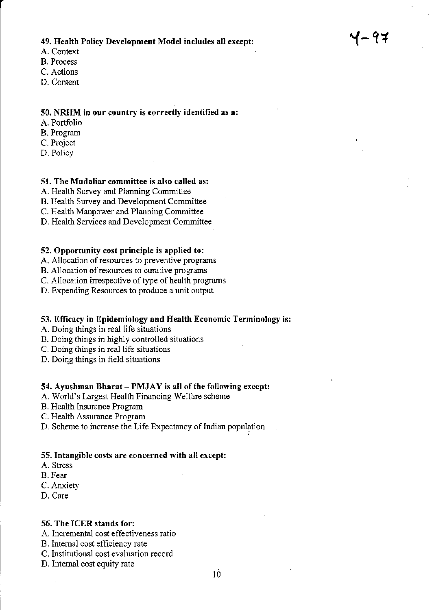# 49. Health Policy Development Model includes all except:

4-97

- A. Context
- B. Process
- C. Actions
- D. Content

# 50. NRHM in our country is correctly identified as a:

- A. Portfolio
- B. Prograrn
- C. Project
- D. Policy

#### 51. The Mudaliar committee is also called as:

- A. Health Survey and Planning Committee
- B. Healih Survey and Development Committee
- C. Health Manpower and Planning Committee
- D. Health Services and Development Committee

#### 52, Opportunity cost prirciple is applied to:

- A. Allocation of resources to preventive programs
- B. Allocation of resources to curative programs
- C. Allocation irrespective of type of health programs
- D. Expending Resources to produce a unit output

#### 53. Efficacy in Epidemiology and Health Economic Terminology is:

- A. Doing things in rcal life situations
- B. Doing things in highly controlled situations
- C. Doing things in real life situations
- D. Doing things in field situations

#### 54. Ayushman Bharat -  $PMJAY$  is all of the following except:

- A. World's Largest Health Financing Welfare scheme
- B. Health Insurance Program
- C. Health Assurance Program
- D. Scheme to increase the Life Expectancy of Indian population

#### 55, Intangible costs are concerned with all except:

- A. Stress
- B. Fear
- C. Anxiety
- D. Care

#### 56. The ICER stands for:

- A. Incremental cost effectiveness ratio
- B. Intemal cost efflciency rate
- C. Institutional cost evaluation record
- D. Internal cost equity rate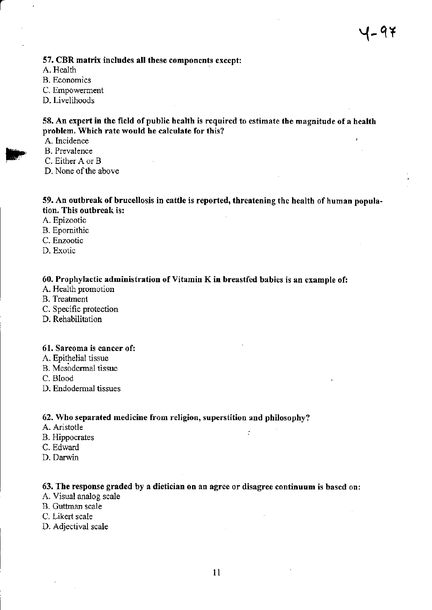# 57. CBR matrix includes all these components except:

- A. Health
- **B.** Economics
- C. Empowement
- D. Livelihoods

# 58. An expert in the field of public health is required to estimate the magnitude of a health problem. Which rate would he calculate for this?

- A. Incidence
- B. Prevalence
- C. Either A or B
- D. None of the above

#### 59. An outbreak of brucellosis in cattle is reported, threatening the health of human population. This outbreak is:

- A. Epizootic
- B. Epomithic
- C. Enzootic
- D. Exotic

# 60. Prophylactic administration of Vitamin K in breastfed babies is an example of:

- A. Health promotion
- B. Treatment
- C. Specific protection
- D. Rehabilitation

#### 61. Sarcoma is cancer of:

- A. Epithelial tissue
- B. Mesodermal tissue
- C. Blood
- D. Endodermal tissues

#### 62. Who separated medicine from religion, superstition and philosophy?

- A. Aristotle
- B. Hippocrates
- C. Edward
- D. Darwin

# 63. The response graded by a dietician on an agree or disagree continuum is based on:

 $\ddot{\cdot}$ 

- A. Visual analog scale
- B. Guttman scale
- C. Likert scale
- D. Adjectival scale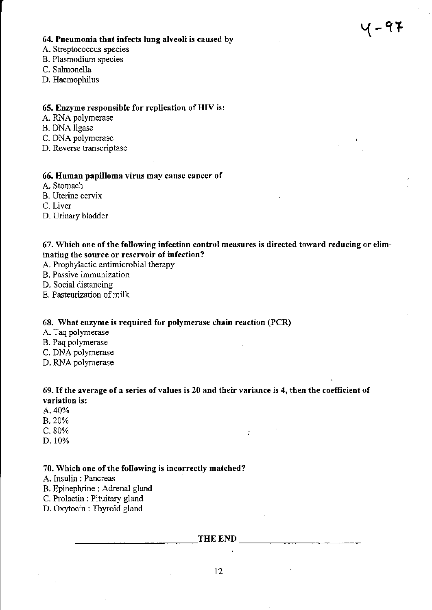# 64. Pneumonia that infects lung alveoli is caused by  $\mathsf{Y}$  and  $\mathsf{Y}$  and  $\mathsf{Y}$  and  $\mathsf{Y}$  are  $\mathsf{Y}$

- A. Steptococcus species
- B. Plasmodium species
- C. Salmonella
- D. Haemophilus

# 65. Enzyme responsible for replication of HIV is:

- A. RNA polymerase
- B. DNA ligase
- C. DNA polymerase
- D. Reverse transcriptase

#### 66. Human papilloma virus may cause cancer of

- A. Stomach
- B. Uterine cewix

C. Liver

D. Urinary bladder

# 67. Which one of the following infection control measures is directed toward reducing or eliminating the source or reservoir of infection?

- A. Prophylactic antimicrobial therapy
- B. Passive immunization
- D. Social distancing
- E. Pasteurization of milk

#### 68. What enzyme is required for polymerase chain reaction (PCR)

- A. Taq polymerase
- B. Paq polymerase
- C. DNA polymerase
- D. RNA polymerase

# 69. lf the average of a series ofvalues is 20 and their variance is 4, then the coefficient of variation is:

 $\ddot{\cdot}$ 

- A.  $40%$
- B.20%
- $C.80%$
- D. 10%

#### 70. Which one of the following is incorrectly matched?

A. Insulin : Pancreas

- B. Epinephrine : Adrenal gland
- C. Prolactin : Pituitary gland
- D. Oxytocin : Thyroid gland

THE END

12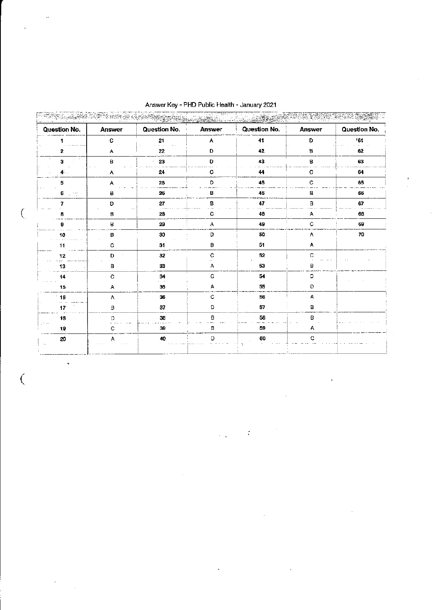| Question No.          | Answer | Question No. | Answer | Question No. | Answer       | Question No. |
|-----------------------|--------|--------------|--------|--------------|--------------|--------------|
|                       | C      | 21           | А      | 41           | D            | 161          |
| 2                     | А      | 22           | D      | 42           | в            | 62           |
| 3                     | B      | 23           | D      | 43           | $\mathbf B$  | 63           |
|                       | А      | 24           | C      | 44           | c            | 64           |
| 5                     | А      | 25           | D      | 45           | $\mathtt{C}$ | 65           |
| 6<br>$\cdot$ $\cdots$ | в      | 26           | в      | 46           | в            | 66           |
|                       | D      | 27           | в      | 47           | B            | 67           |
|                       | в      | 28           | с      | 48           | Α            | 68           |
|                       | Β.     | 29           | А      | 49           | C            | 69           |
| 10                    | в      | 30           | D      | 50           | Α            | 70           |
| 11                    | с      | 31           | в      | 51           | Α            |              |
| 12                    | D      | 32           | C      | 52           | C            |              |
| 13                    | в      | 33           | А      | 53           | в            |              |
| 14                    | C      | 34           | C      | 54           | D            |              |
| 15                    | А      | 35           | Α      | 55           | D            |              |
| 16                    | А      | 36           | C      | 56           | А            |              |
| 17                    | в      | 37           | D      | 57           | в            |              |
| 18<br>Stories.        | D      | 38           | 8      | 58           | в            |              |
| 19                    | с      | 39           | в      | 59           | А            |              |
| 20                    | А      | 40           | D      | 60           | C            |              |

 $\ddot{\phantom{a}}$ 

 $\mathbf{r}$ 

 $\bar{z}$ 

 $\sim 10^7$ 

Answer Key - PHD Public Health - January 2021

(.

 $\ddot{\phantom{1}}$ 

÷,